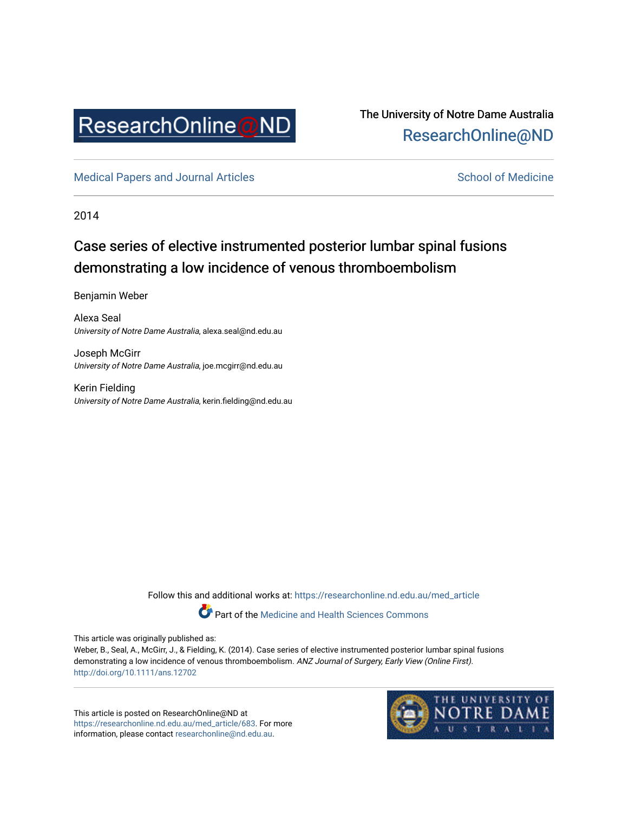

# The University of Notre Dame Australia [ResearchOnline@ND](https://researchonline.nd.edu.au/)

[Medical Papers and Journal Articles](https://researchonline.nd.edu.au/med_article) and School of Medicine

2014

# Case series of elective instrumented posterior lumbar spinal fusions demonstrating a low incidence of venous thromboembolism

Benjamin Weber

Alexa Seal University of Notre Dame Australia, alexa.seal@nd.edu.au

Joseph McGirr University of Notre Dame Australia, joe.mcgirr@nd.edu.au

Kerin Fielding University of Notre Dame Australia, kerin.fielding@nd.edu.au

Follow this and additional works at: [https://researchonline.nd.edu.au/med\\_article](https://researchonline.nd.edu.au/med_article?utm_source=researchonline.nd.edu.au%2Fmed_article%2F683&utm_medium=PDF&utm_campaign=PDFCoverPages) 

Part of the [Medicine and Health Sciences Commons](http://network.bepress.com/hgg/discipline/648?utm_source=researchonline.nd.edu.au%2Fmed_article%2F683&utm_medium=PDF&utm_campaign=PDFCoverPages)

This article was originally published as:

Weber, B., Seal, A., McGirr, J., & Fielding, K. (2014). Case series of elective instrumented posterior lumbar spinal fusions demonstrating a low incidence of venous thromboembolism. ANZ Journal of Surgery, Early View (Online First). <http://doi.org/10.1111/ans.12702>

This article is posted on ResearchOnline@ND at [https://researchonline.nd.edu.au/med\\_article/683](https://researchonline.nd.edu.au/med_article/683). For more information, please contact [researchonline@nd.edu.au.](mailto:researchonline@nd.edu.au)

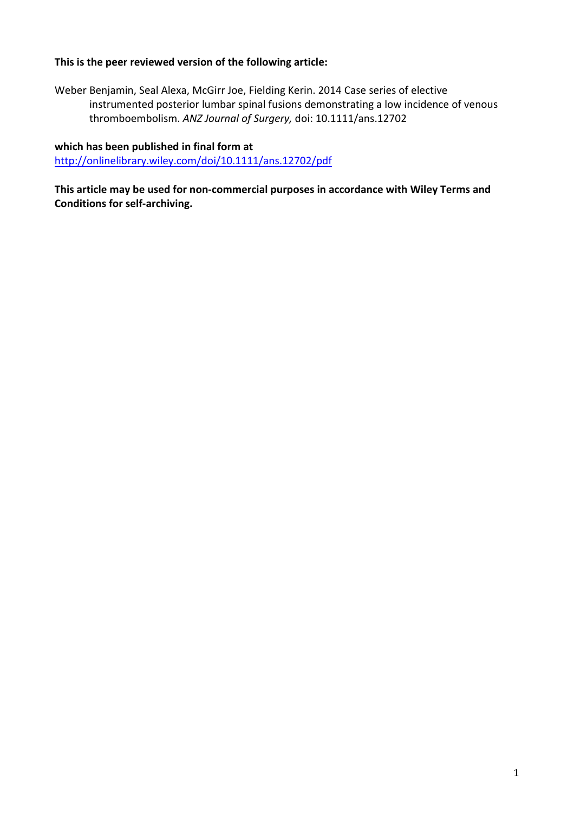## This is the peer reviewed version of the following article:

Weber Benjamin, Seal Alexa, McGirr Joe, Fielding Kerin. 2014 Case series of elective instrumented posterior lumbar spinal fusions demonstrating a low incidence of venous thromboembolism. ANZ Journal of Surgery, doi: 10.1111/ans.12702

## which has been published in final form at

http://onlinelibrary.wiley.com/doi/10.1111/ans.12702/pdf

This article may be used for non-commercial purposes in accordance with Wiley Terms and Conditions for self-archiving.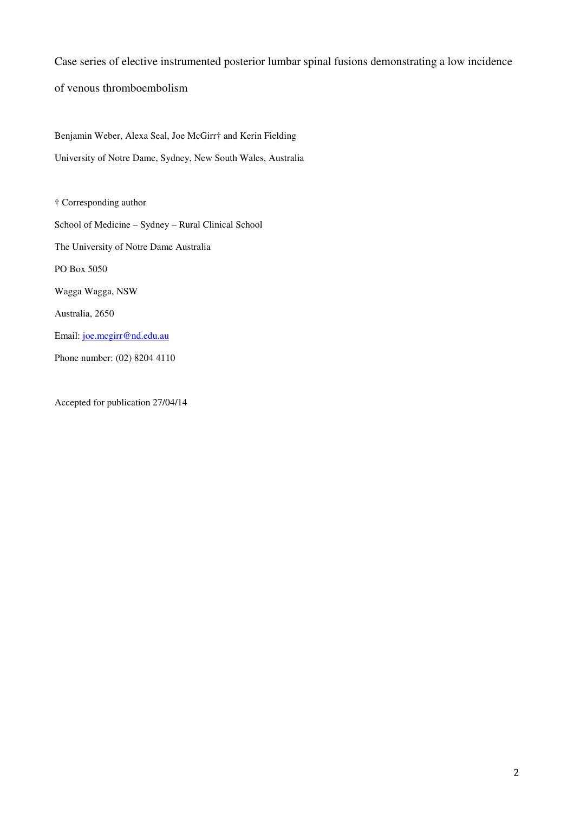Case series of elective instrumented posterior lumbar spinal fusions demonstrating a low incidence

of venous thromboembolism

Benjamin Weber, Alexa Seal, Joe McGirr† and Kerin Fielding University of Notre Dame, Sydney, New South Wales, Australia

† Corresponding author School of Medicine – Sydney – Rural Clinical School The University of Notre Dame Australia PO Box 5050 Wagga Wagga, NSW Australia, 2650 Email: joe.mcgirr@nd.edu.au

Phone number: (02) 8204 4110

Accepted for publication 27/04/14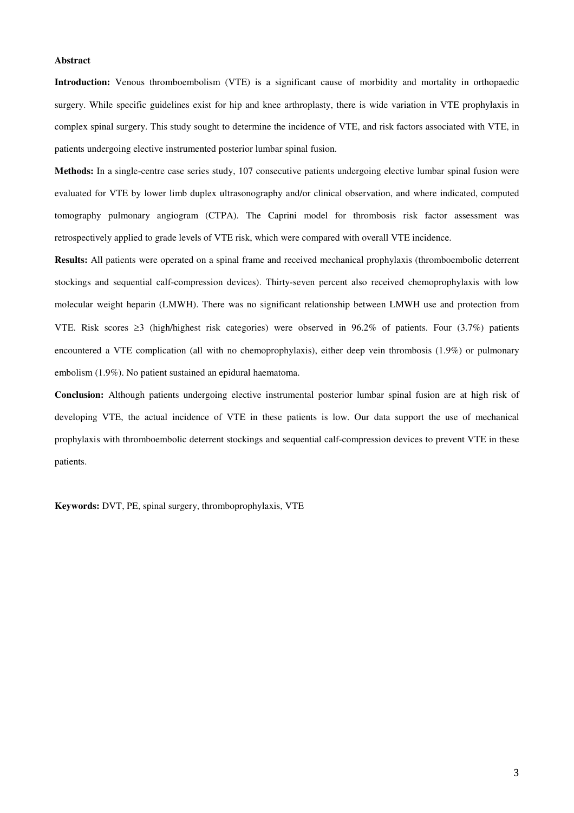### **Abstract**

**Introduction:** Venous thromboembolism (VTE) is a significant cause of morbidity and mortality in orthopaedic surgery. While specific guidelines exist for hip and knee arthroplasty, there is wide variation in VTE prophylaxis in complex spinal surgery. This study sought to determine the incidence of VTE, and risk factors associated with VTE, in patients undergoing elective instrumented posterior lumbar spinal fusion.

**Methods:** In a single-centre case series study, 107 consecutive patients undergoing elective lumbar spinal fusion were evaluated for VTE by lower limb duplex ultrasonography and/or clinical observation, and where indicated, computed tomography pulmonary angiogram (CTPA). The Caprini model for thrombosis risk factor assessment was retrospectively applied to grade levels of VTE risk, which were compared with overall VTE incidence.

**Results:** All patients were operated on a spinal frame and received mechanical prophylaxis (thromboembolic deterrent stockings and sequential calf-compression devices). Thirty-seven percent also received chemoprophylaxis with low molecular weight heparin (LMWH). There was no significant relationship between LMWH use and protection from VTE. Risk scores ≥3 (high/highest risk categories) were observed in 96.2% of patients. Four (3.7%) patients encountered a VTE complication (all with no chemoprophylaxis), either deep vein thrombosis (1.9%) or pulmonary embolism (1.9%). No patient sustained an epidural haematoma.

**Conclusion:** Although patients undergoing elective instrumental posterior lumbar spinal fusion are at high risk of developing VTE, the actual incidence of VTE in these patients is low. Our data support the use of mechanical prophylaxis with thromboembolic deterrent stockings and sequential calf-compression devices to prevent VTE in these patients.

**Keywords:** DVT, PE, spinal surgery, thromboprophylaxis, VTE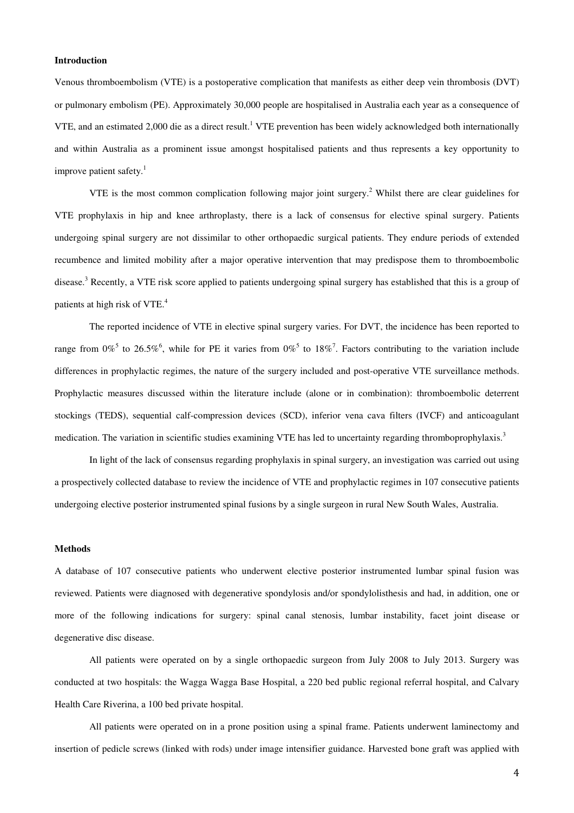### **Introduction**

Venous thromboembolism (VTE) is a postoperative complication that manifests as either deep vein thrombosis (DVT) or pulmonary embolism (PE). Approximately 30,000 people are hospitalised in Australia each year as a consequence of VTE, and an estimated 2,000 die as a direct result.<sup>1</sup> VTE prevention has been widely acknowledged both internationally and within Australia as a prominent issue amongst hospitalised patients and thus represents a key opportunity to improve patient safety. $\frac{1}{1}$ 

VTE is the most common complication following major joint surgery.<sup>2</sup> Whilst there are clear guidelines for VTE prophylaxis in hip and knee arthroplasty, there is a lack of consensus for elective spinal surgery. Patients undergoing spinal surgery are not dissimilar to other orthopaedic surgical patients. They endure periods of extended recumbence and limited mobility after a major operative intervention that may predispose them to thromboembolic disease.<sup>3</sup> Recently, a VTE risk score applied to patients undergoing spinal surgery has established that this is a group of patients at high risk of VTE.<sup>4</sup>

The reported incidence of VTE in elective spinal surgery varies. For DVT, the incidence has been reported to range from  $0\%$ <sup>5</sup> to 26.5%<sup>6</sup>, while for PE it varies from  $0\%$ <sup>5</sup> to 18%<sup>7</sup>. Factors contributing to the variation include differences in prophylactic regimes, the nature of the surgery included and post-operative VTE surveillance methods. Prophylactic measures discussed within the literature include (alone or in combination): thromboembolic deterrent stockings (TEDS), sequential calf-compression devices (SCD), inferior vena cava filters (IVCF) and anticoagulant medication. The variation in scientific studies examining VTE has led to uncertainty regarding thromboprophylaxis.<sup>3</sup>

In light of the lack of consensus regarding prophylaxis in spinal surgery, an investigation was carried out using a prospectively collected database to review the incidence of VTE and prophylactic regimes in 107 consecutive patients undergoing elective posterior instrumented spinal fusions by a single surgeon in rural New South Wales, Australia.

### **Methods**

A database of 107 consecutive patients who underwent elective posterior instrumented lumbar spinal fusion was reviewed. Patients were diagnosed with degenerative spondylosis and/or spondylolisthesis and had, in addition, one or more of the following indications for surgery: spinal canal stenosis, lumbar instability, facet joint disease or degenerative disc disease.

All patients were operated on by a single orthopaedic surgeon from July 2008 to July 2013. Surgery was conducted at two hospitals: the Wagga Wagga Base Hospital, a 220 bed public regional referral hospital, and Calvary Health Care Riverina, a 100 bed private hospital.

All patients were operated on in a prone position using a spinal frame. Patients underwent laminectomy and insertion of pedicle screws (linked with rods) under image intensifier guidance. Harvested bone graft was applied with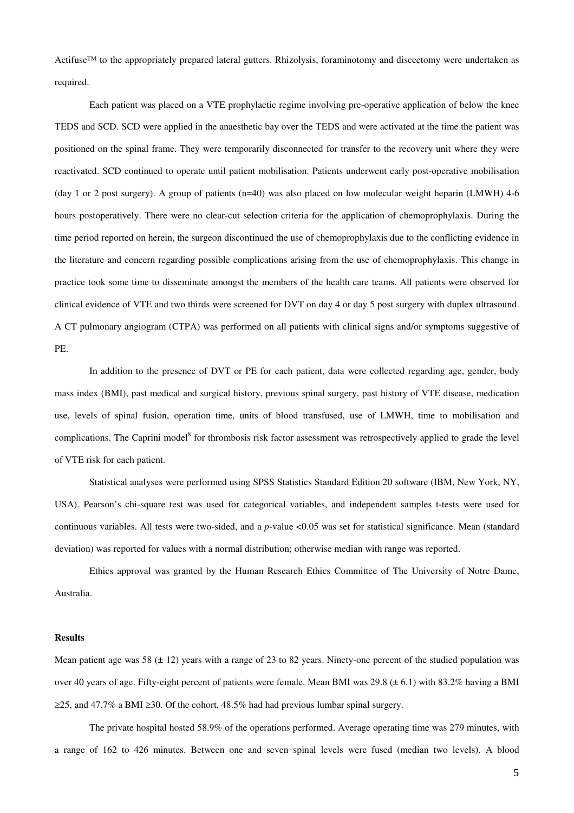Actifuse™ to the appropriately prepared lateral gutters. Rhizolysis, foraminotomy and discectomy were undertaken as required.

Each patient was placed on a VTE prophylactic regime involving pre-operative application of below the knee TEDS and SCD. SCD were applied in the anaesthetic bay over the TEDS and were activated at the time the patient was positioned on the spinal frame. They were temporarily disconnected for transfer to the recovery unit where they were reactivated. SCD continued to operate until patient mobilisation. Patients underwent early post-operative mobilisation (day 1 or 2 post surgery). A group of patients (n=40) was also placed on low molecular weight heparin (LMWH) 4-6 hours postoperatively. There were no clear-cut selection criteria for the application of chemoprophylaxis. During the time period reported on herein, the surgeon discontinued the use of chemoprophylaxis due to the conflicting evidence in the literature and concern regarding possible complications arising from the use of chemoprophylaxis. This change in practice took some time to disseminate amongst the members of the health care teams. All patients were observed for clinical evidence of VTE and two thirds were screened for DVT on day 4 or day 5 post surgery with duplex ultrasound. A CT pulmonary angiogram (CTPA) was performed on all patients with clinical signs and/or symptoms suggestive of PE.

In addition to the presence of DVT or PE for each patient, data were collected regarding age, gender, body mass index (BMI), past medical and surgical history, previous spinal surgery, past history of VTE disease, medication use, levels of spinal fusion, operation time, units of blood transfused, use of LMWH, time to mobilisation and complications. The Caprini model<sup>8</sup> for thrombosis risk factor assessment was retrospectively applied to grade the level of VTE risk for each patient.

Statistical analyses were performed using SPSS Statistics Standard Edition 20 software (IBM, New York, NY, USA). Pearson's chi-square test was used for categorical variables, and independent samples t-tests were used for continuous variables. All tests were two-sided, and a *p-*value <0.05 was set for statistical significance. Mean (standard deviation) was reported for values with a normal distribution; otherwise median with range was reported.

Ethics approval was granted by the Human Research Ethics Committee of The University of Notre Dame, Australia.

#### **Results**

Mean patient age was 58 ( $\pm$  12) years with a range of 23 to 82 years. Ninety-one percent of the studied population was over 40 years of age. Fifty-eight percent of patients were female. Mean BMI was  $29.8 (\pm 6.1)$  with 83.2% having a BMI  $≥25$ , and 47.7% a BMI  $≥30$ . Of the cohort, 48.5% had had previous lumbar spinal surgery.

The private hospital hosted 58.9% of the operations performed. Average operating time was 279 minutes, with a range of 162 to 426 minutes. Between one and seven spinal levels were fused (median two levels). A blood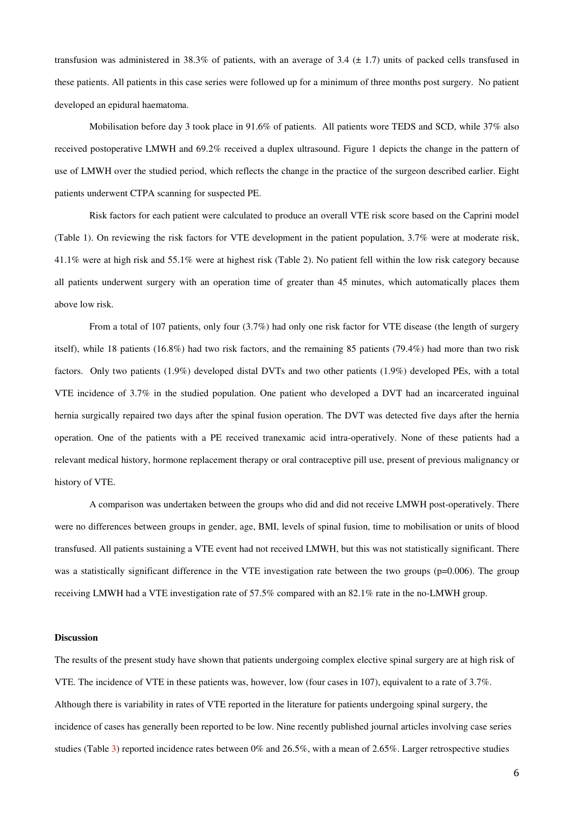transfusion was administered in 38.3% of patients, with an average of 3.4 ( $\pm$  1.7) units of packed cells transfused in these patients. All patients in this case series were followed up for a minimum of three months post surgery. No patient developed an epidural haematoma.

Mobilisation before day 3 took place in 91.6% of patients. All patients wore TEDS and SCD, while 37% also received postoperative LMWH and 69.2% received a duplex ultrasound. Figure 1 depicts the change in the pattern of use of LMWH over the studied period, which reflects the change in the practice of the surgeon described earlier. Eight patients underwent CTPA scanning for suspected PE.

Risk factors for each patient were calculated to produce an overall VTE risk score based on the Caprini model (Table 1). On reviewing the risk factors for VTE development in the patient population, 3.7% were at moderate risk, 41.1% were at high risk and 55.1% were at highest risk (Table 2). No patient fell within the low risk category because all patients underwent surgery with an operation time of greater than 45 minutes, which automatically places them above low risk.

From a total of 107 patients, only four (3.7%) had only one risk factor for VTE disease (the length of surgery itself), while 18 patients (16.8%) had two risk factors, and the remaining 85 patients (79.4%) had more than two risk factors. Only two patients (1.9%) developed distal DVTs and two other patients (1.9%) developed PEs, with a total VTE incidence of 3.7% in the studied population. One patient who developed a DVT had an incarcerated inguinal hernia surgically repaired two days after the spinal fusion operation. The DVT was detected five days after the hernia operation. One of the patients with a PE received tranexamic acid intra-operatively. None of these patients had a relevant medical history, hormone replacement therapy or oral contraceptive pill use, present of previous malignancy or history of VTE.

A comparison was undertaken between the groups who did and did not receive LMWH post-operatively. There were no differences between groups in gender, age, BMI, levels of spinal fusion, time to mobilisation or units of blood transfused. All patients sustaining a VTE event had not received LMWH, but this was not statistically significant. There was a statistically significant difference in the VTE investigation rate between the two groups (p=0.006). The group receiving LMWH had a VTE investigation rate of 57.5% compared with an 82.1% rate in the no-LMWH group.

#### **Discussion**

The results of the present study have shown that patients undergoing complex elective spinal surgery are at high risk of VTE. The incidence of VTE in these patients was, however, low (four cases in 107), equivalent to a rate of 3.7%. Although there is variability in rates of VTE reported in the literature for patients undergoing spinal surgery, the incidence of cases has generally been reported to be low. Nine recently published journal articles involving case series studies (Table 3) reported incidence rates between 0% and 26.5%, with a mean of 2.65%. Larger retrospective studies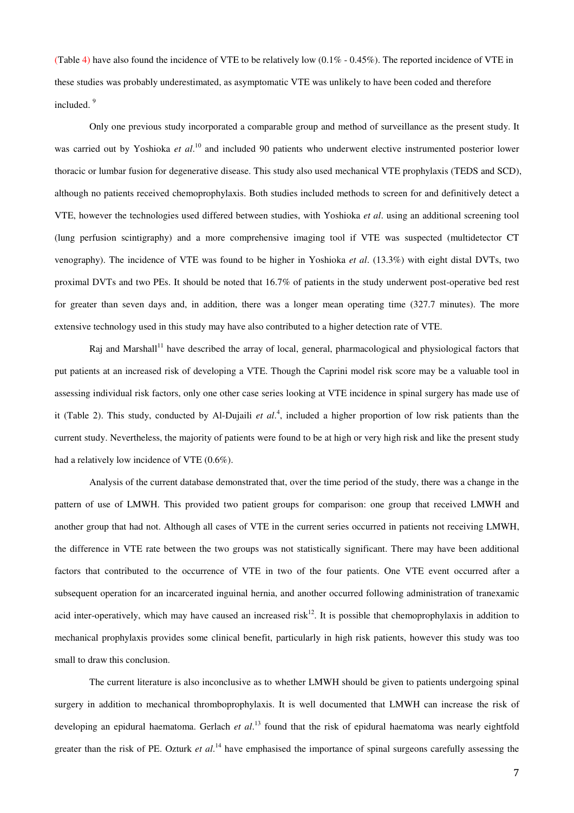(Table 4) have also found the incidence of VTE to be relatively low  $(0.1\% - 0.45\%)$ . The reported incidence of VTE in these studies was probably underestimated, as asymptomatic VTE was unlikely to have been coded and therefore included.<sup>9</sup>

Only one previous study incorporated a comparable group and method of surveillance as the present study. It was carried out by Yoshioka *et al.*<sup>10</sup> and included 90 patients who underwent elective instrumented posterior lower thoracic or lumbar fusion for degenerative disease. This study also used mechanical VTE prophylaxis (TEDS and SCD), although no patients received chemoprophylaxis. Both studies included methods to screen for and definitively detect a VTE, however the technologies used differed between studies, with Yoshioka *et al*. using an additional screening tool (lung perfusion scintigraphy) and a more comprehensive imaging tool if VTE was suspected (multidetector CT venography). The incidence of VTE was found to be higher in Yoshioka *et al*. (13.3%) with eight distal DVTs, two proximal DVTs and two PEs. It should be noted that 16.7% of patients in the study underwent post-operative bed rest for greater than seven days and, in addition, there was a longer mean operating time (327.7 minutes). The more extensive technology used in this study may have also contributed to a higher detection rate of VTE.

Raj and Marshall<sup>11</sup> have described the array of local, general, pharmacological and physiological factors that put patients at an increased risk of developing a VTE. Though the Caprini model risk score may be a valuable tool in assessing individual risk factors, only one other case series looking at VTE incidence in spinal surgery has made use of it (Table 2). This study, conducted by Al-Dujaili *et al*. 4 , included a higher proportion of low risk patients than the current study. Nevertheless, the majority of patients were found to be at high or very high risk and like the present study had a relatively low incidence of VTE (0.6%).

Analysis of the current database demonstrated that, over the time period of the study, there was a change in the pattern of use of LMWH. This provided two patient groups for comparison: one group that received LMWH and another group that had not. Although all cases of VTE in the current series occurred in patients not receiving LMWH, the difference in VTE rate between the two groups was not statistically significant. There may have been additional factors that contributed to the occurrence of VTE in two of the four patients. One VTE event occurred after a subsequent operation for an incarcerated inguinal hernia, and another occurred following administration of tranexamic acid inter-operatively, which may have caused an increased risk<sup>12</sup>. It is possible that chemoprophylaxis in addition to mechanical prophylaxis provides some clinical benefit, particularly in high risk patients, however this study was too small to draw this conclusion.

The current literature is also inconclusive as to whether LMWH should be given to patients undergoing spinal surgery in addition to mechanical thromboprophylaxis. It is well documented that LMWH can increase the risk of developing an epidural haematoma. Gerlach *et al*. <sup>13</sup> found that the risk of epidural haematoma was nearly eightfold greater than the risk of PE. Ozturk *et al*. <sup>14</sup> have emphasised the importance of spinal surgeons carefully assessing the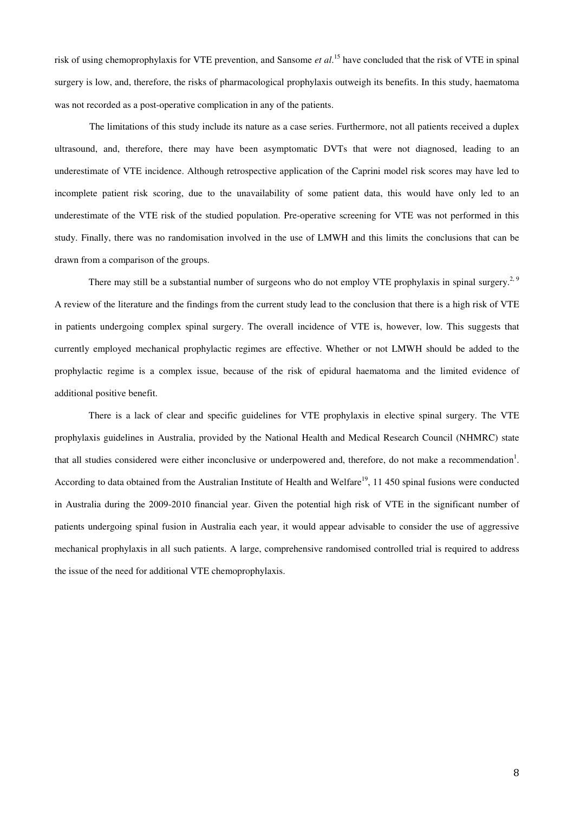risk of using chemoprophylaxis for VTE prevention, and Sansome *et al*. <sup>15</sup> have concluded that the risk of VTE in spinal surgery is low, and, therefore, the risks of pharmacological prophylaxis outweigh its benefits. In this study, haematoma was not recorded as a post-operative complication in any of the patients.

The limitations of this study include its nature as a case series. Furthermore, not all patients received a duplex ultrasound, and, therefore, there may have been asymptomatic DVTs that were not diagnosed, leading to an underestimate of VTE incidence. Although retrospective application of the Caprini model risk scores may have led to incomplete patient risk scoring, due to the unavailability of some patient data, this would have only led to an underestimate of the VTE risk of the studied population. Pre-operative screening for VTE was not performed in this study. Finally, there was no randomisation involved in the use of LMWH and this limits the conclusions that can be drawn from a comparison of the groups.

There may still be a substantial number of surgeons who do not employ VTE prophylaxis in spinal surgery.<sup>2, 9</sup> A review of the literature and the findings from the current study lead to the conclusion that there is a high risk of VTE in patients undergoing complex spinal surgery. The overall incidence of VTE is, however, low. This suggests that currently employed mechanical prophylactic regimes are effective. Whether or not LMWH should be added to the prophylactic regime is a complex issue, because of the risk of epidural haematoma and the limited evidence of additional positive benefit.

There is a lack of clear and specific guidelines for VTE prophylaxis in elective spinal surgery. The VTE prophylaxis guidelines in Australia, provided by the National Health and Medical Research Council (NHMRC) state that all studies considered were either inconclusive or underpowered and, therefore, do not make a recommendation<sup>1</sup>. According to data obtained from the Australian Institute of Health and Welfare<sup>19</sup>, 11 450 spinal fusions were conducted in Australia during the 2009-2010 financial year. Given the potential high risk of VTE in the significant number of patients undergoing spinal fusion in Australia each year, it would appear advisable to consider the use of aggressive mechanical prophylaxis in all such patients. A large, comprehensive randomised controlled trial is required to address the issue of the need for additional VTE chemoprophylaxis.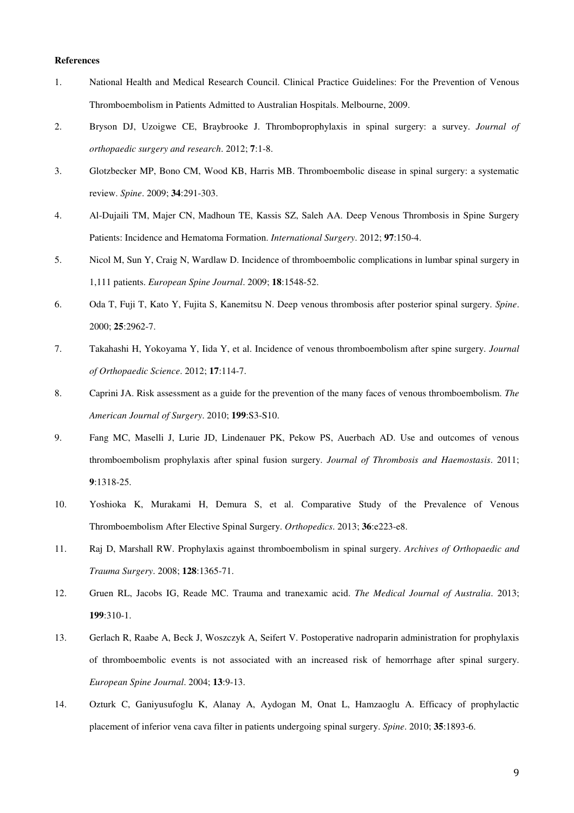#### **References**

- 1. National Health and Medical Research Council. Clinical Practice Guidelines: For the Prevention of Venous Thromboembolism in Patients Admitted to Australian Hospitals. Melbourne, 2009.
- 2. Bryson DJ, Uzoigwe CE, Braybrooke J. Thromboprophylaxis in spinal surgery: a survey. *Journal of orthopaedic surgery and research*. 2012; **7**:1-8.
- 3. Glotzbecker MP, Bono CM, Wood KB, Harris MB. Thromboembolic disease in spinal surgery: a systematic review. *Spine*. 2009; **34**:291-303.
- 4. Al-Dujaili TM, Majer CN, Madhoun TE, Kassis SZ, Saleh AA. Deep Venous Thrombosis in Spine Surgery Patients: Incidence and Hematoma Formation. *International Surgery*. 2012; **97**:150-4.
- 5. Nicol M, Sun Y, Craig N, Wardlaw D. Incidence of thromboembolic complications in lumbar spinal surgery in 1,111 patients. *European Spine Journal*. 2009; **18**:1548-52.
- 6. Oda T, Fuji T, Kato Y, Fujita S, Kanemitsu N. Deep venous thrombosis after posterior spinal surgery. *Spine*. 2000; **25**:2962-7.
- 7. Takahashi H, Yokoyama Y, Iida Y, et al. Incidence of venous thromboembolism after spine surgery. *Journal of Orthopaedic Science*. 2012; **17**:114-7.
- 8. Caprini JA. Risk assessment as a guide for the prevention of the many faces of venous thromboembolism. *The American Journal of Surgery*. 2010; **199**:S3-S10.
- 9. Fang MC, Maselli J, Lurie JD, Lindenauer PK, Pekow PS, Auerbach AD. Use and outcomes of venous thromboembolism prophylaxis after spinal fusion surgery. *Journal of Thrombosis and Haemostasis*. 2011; **9**:1318-25.
- 10. Yoshioka K, Murakami H, Demura S, et al. Comparative Study of the Prevalence of Venous Thromboembolism After Elective Spinal Surgery. *Orthopedics*. 2013; **36**:e223-e8.
- 11. Raj D, Marshall RW. Prophylaxis against thromboembolism in spinal surgery. *Archives of Orthopaedic and Trauma Surgery*. 2008; **128**:1365-71.
- 12. Gruen RL, Jacobs IG, Reade MC. Trauma and tranexamic acid. *The Medical Journal of Australia*. 2013; **199**:310-1.
- 13. Gerlach R, Raabe A, Beck J, Woszczyk A, Seifert V. Postoperative nadroparin administration for prophylaxis of thromboembolic events is not associated with an increased risk of hemorrhage after spinal surgery. *European Spine Journal*. 2004; **13**:9-13.
- 14. Ozturk C, Ganiyusufoglu K, Alanay A, Aydogan M, Onat L, Hamzaoglu A. Efficacy of prophylactic placement of inferior vena cava filter in patients undergoing spinal surgery. *Spine*. 2010; **35**:1893-6.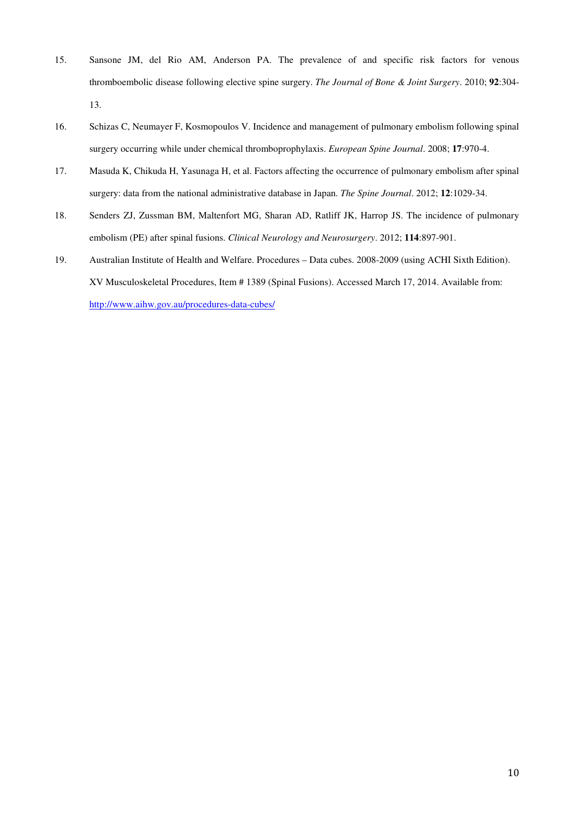- 15. Sansone JM, del Rio AM, Anderson PA. The prevalence of and specific risk factors for venous thromboembolic disease following elective spine surgery. *The Journal of Bone & Joint Surgery*. 2010; **92**:304- 13.
- 16. Schizas C, Neumayer F, Kosmopoulos V. Incidence and management of pulmonary embolism following spinal surgery occurring while under chemical thromboprophylaxis. *European Spine Journal*. 2008; **17**:970-4.
- 17. Masuda K, Chikuda H, Yasunaga H, et al. Factors affecting the occurrence of pulmonary embolism after spinal surgery: data from the national administrative database in Japan. *The Spine Journal*. 2012; **12**:1029-34.
- 18. Senders ZJ, Zussman BM, Maltenfort MG, Sharan AD, Ratliff JK, Harrop JS. The incidence of pulmonary embolism (PE) after spinal fusions. *Clinical Neurology and Neurosurgery*. 2012; **114**:897-901.
- 19. Australian Institute of Health and Welfare. Procedures Data cubes. 2008-2009 (using ACHI Sixth Edition). XV Musculoskeletal Procedures, Item # 1389 (Spinal Fusions). Accessed March 17, 2014. Available from: http://www.aihw.gov.au/procedures-data-cubes/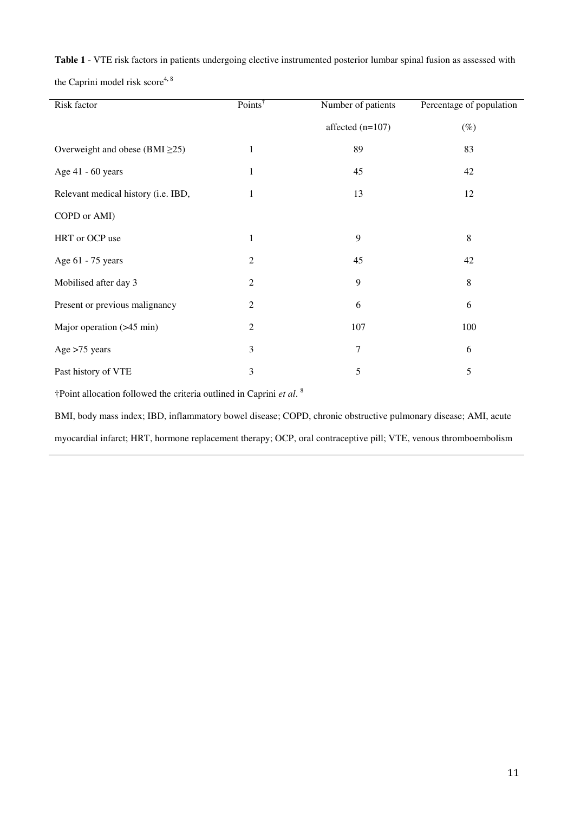| Risk factor                          | Points <sup>†</sup> | Number of patients | Percentage of population |
|--------------------------------------|---------------------|--------------------|--------------------------|
|                                      |                     | affected $(n=107)$ | $(\%)$                   |
| Overweight and obese (BMI $\geq$ 25) | 1                   | 89                 | 83                       |
| Age 41 - 60 years                    | 1                   | 45                 | 42                       |
| Relevant medical history (i.e. IBD,  | 1                   | 13                 | 12                       |
| COPD or AMI)                         |                     |                    |                          |
| HRT or OCP use                       | 1                   | 9                  | 8                        |
| Age 61 - 75 years                    | 2                   | 45                 | 42                       |
| Mobilised after day 3                | $\mathfrak{2}$      | 9                  | 8                        |
| Present or previous malignancy       | $\overline{2}$      | 6                  | 6                        |
| Major operation (>45 min)            | $\overline{2}$      | 107                | 100                      |
| Age >75 years                        | 3                   | $\overline{7}$     | 6                        |
| Past history of VTE                  | 3                   | 5                  | 5                        |

**Table 1** - VTE risk factors in patients undergoing elective instrumented posterior lumbar spinal fusion as assessed with the Caprini model risk score $4, 8$ 

†Point allocation followed the criteria outlined in Caprini *et al*. 8

BMI, body mass index; IBD, inflammatory bowel disease; COPD, chronic obstructive pulmonary disease; AMI, acute myocardial infarct; HRT, hormone replacement therapy; OCP, oral contraceptive pill; VTE, venous thromboembolism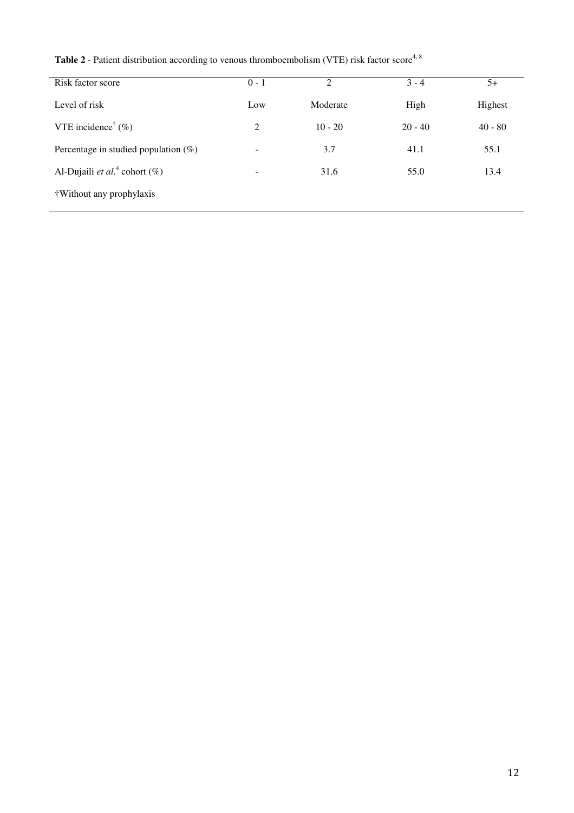| Risk factor score                            | $0 - 1$                  | 2         | $3 - 4$   | $5+$      |
|----------------------------------------------|--------------------------|-----------|-----------|-----------|
| Level of risk                                | Low                      | Moderate  | High      | Highest   |
| VTE incidence <sup>†</sup> $(\% )$           | $\overline{2}$           | $10 - 20$ | $20 - 40$ | $40 - 80$ |
| Percentage in studied population $(\%)$      | $\qquad \qquad -$        | 3.7       | 41.1      | 55.1      |
| Al-Dujaili et al. <sup>4</sup> cohort $(\%)$ | $\overline{\phantom{a}}$ | 31.6      | 55.0      | 13.4      |
| †Without any prophylaxis                     |                          |           |           |           |

Table 2 - Patient distribution according to venous thromboembolism (VTE) risk factor score<sup>4, 8</sup>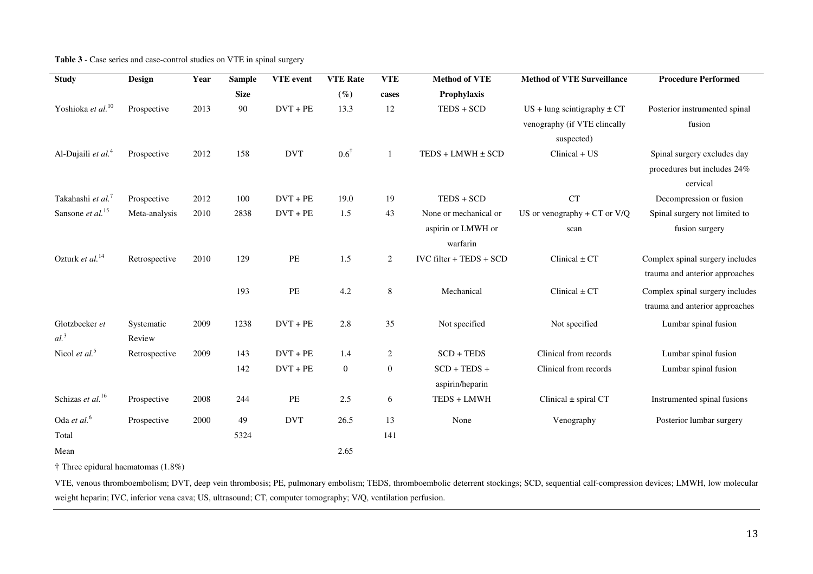| <b>Study</b>                   | Design        | Year | <b>Sample</b> | <b>VTE</b> event | <b>VTE Rate</b>  | $\ensuremath{\mathbf{VTE}}$ | <b>Method of VTE</b>    | <b>Method of VTE Surveillance</b> | <b>Procedure Performed</b>      |
|--------------------------------|---------------|------|---------------|------------------|------------------|-----------------------------|-------------------------|-----------------------------------|---------------------------------|
|                                |               |      | <b>Size</b>   |                  | $(\%)$           | cases                       | Prophylaxis             |                                   |                                 |
| Yoshioka et al. <sup>10</sup>  | Prospective   | 2013 | 90            | $DVT + PE$       | 13.3             | 12                          | $TEDS + SCD$            | $US + lung$ scintigraphy $\pm CT$ | Posterior instrumented spinal   |
|                                |               |      |               |                  |                  |                             |                         | venography (if VTE clincally      | fusion                          |
|                                |               |      |               |                  |                  |                             |                         | suspected)                        |                                 |
| Al-Dujaili et al. <sup>4</sup> | Prospective   | 2012 | 158           | <b>DVT</b>       | $0.6^{\dagger}$  |                             | $TEDS + LMWH \pm SCD$   | $Clinical + US$                   | Spinal surgery excludes day     |
|                                |               |      |               |                  |                  |                             |                         |                                   | procedures but includes 24%     |
|                                |               |      |               |                  |                  |                             |                         |                                   | cervical                        |
| Takahashi et al. <sup>7</sup>  | Prospective   | 2012 | 100           | $DVT + PE$       | 19.0             | 19                          | $TEDS + SCD$            | <b>CT</b>                         | Decompression or fusion         |
| Sansone et al. <sup>15</sup>   | Meta-analysis | 2010 | 2838          | $DVT + PE$       | 1.5              | 43                          | None or mechanical or   | US or venography + $CT$ or $V/Q$  | Spinal surgery not limited to   |
|                                |               |      |               |                  |                  |                             | aspirin or LMWH or      | scan                              | fusion surgery                  |
|                                |               |      |               |                  |                  |                             | warfarin                |                                   |                                 |
| Ozturk et al. <sup>14</sup>    | Retrospective | 2010 | 129           | PE               | 1.5              | $\sqrt{2}$                  | IVC filter + TEDS + SCD | $Clinical \pm CT$                 | Complex spinal surgery includes |
|                                |               |      |               |                  |                  |                             |                         |                                   | trauma and anterior approaches  |
|                                |               |      | 193           | PE               | 4.2              | $\,$ 8 $\,$                 | Mechanical              | Clinical $\pm$ CT                 | Complex spinal surgery includes |
|                                |               |      |               |                  |                  |                             |                         |                                   | trauma and anterior approaches  |
| Glotzbecker et                 | Systematic    | 2009 | 1238          | $DVT + PE$       | 2.8              | 35                          | Not specified           | Not specified                     | Lumbar spinal fusion            |
| al. <sup>3</sup>               | Review        |      |               |                  |                  |                             |                         |                                   |                                 |
| Nicol et al. <sup>5</sup>      | Retrospective | 2009 | 143           | $DVT + PE$       | 1.4              | $\sqrt{2}$                  | $SCD + TEDS$            | Clinical from records             | Lumbar spinal fusion            |
|                                |               |      | 142           | $DVT + PE$       | $\boldsymbol{0}$ | $\boldsymbol{0}$            | $SCD + TEDS +$          | Clinical from records             | Lumbar spinal fusion            |
|                                |               |      |               |                  |                  |                             | aspirin/heparin         |                                   |                                 |
| Schizas et al. <sup>16</sup>   | Prospective   | 2008 | 244           | PE               | 2.5              | 6                           | TEDS + LMWH             | Clinical $\pm$ spiral CT          | Instrumented spinal fusions     |
| Oda et al. <sup>6</sup>        | Prospective   | 2000 | 49            | <b>DVT</b>       | 26.5             | 13                          | None                    | Venography                        | Posterior lumbar surgery        |
| Total                          |               |      | 5324          |                  |                  | 141                         |                         |                                   |                                 |
| Mean                           |               |      |               |                  | 2.65             |                             |                         |                                   |                                 |

† Three epidural haematomas (1.8%)

VTE, venous thromboembolism; DVT, deep vein thrombosis; PE, pulmonary embolism; TEDS, thromboembolic deterrent stockings; SCD, sequential calf-compression devices; LMWH, low molecular weight heparin; IVC, inferior vena cava; US, ultrasound; CT, computer tomography; V/Q, ventilation perfusion.